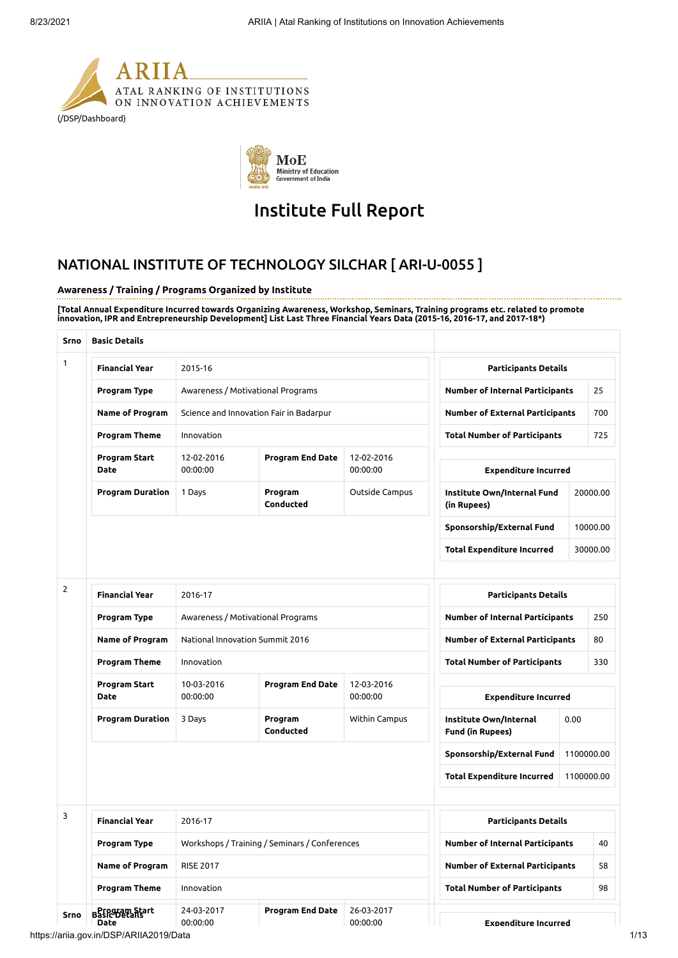



# Institute Full Report

## NATIONAL INSTITUTE OF TECHNOLOGY SILCHAR [ ARI-U-0055 ]

#### **Awareness / Training / Programs Organized by Institute**

[Total Annual Expenditure Incurred towards Organizing Awareness, Workshop, Seminars, Training programs etc. related to promote **innovation, IPR and Entrepreneurship Development] List Last Three Financial Years Data (2015-16, 2016-17, and 2017-18\*)**

| Srno         | <b>Basic Details</b>                |                                         |                                               |                             |                                                   |            |          |  |
|--------------|-------------------------------------|-----------------------------------------|-----------------------------------------------|-----------------------------|---------------------------------------------------|------------|----------|--|
| 1            | <b>Financial Year</b>               | 2015-16                                 |                                               |                             | <b>Participants Details</b>                       |            |          |  |
|              | Program Type                        | Awareness / Motivational Programs       |                                               |                             | <b>Number of Internal Participants</b>            |            | 25       |  |
|              | Name of Program                     | Science and Innovation Fair in Badarpur |                                               |                             | <b>Number of External Participants</b>            |            | 700      |  |
|              | <b>Program Theme</b>                | Innovation                              |                                               |                             | <b>Total Number of Participants</b>               |            | 725      |  |
|              | <b>Program Start</b><br><b>Date</b> | 12-02-2016<br>00:00:00                  | <b>Program End Date</b>                       | 12-02-2016<br>00:00:00      | <b>Expenditure Incurred</b>                       |            |          |  |
|              | <b>Program Duration</b>             | 1 Days                                  | Program<br>Conducted                          | Outside Campus              | Institute Own/Internal Fund<br>(in Rupees)        |            | 20000.00 |  |
|              |                                     |                                         |                                               |                             | Sponsorship/External Fund                         |            | 10000.00 |  |
|              |                                     |                                         |                                               |                             | <b>Total Expenditure Incurred</b>                 |            | 30000.00 |  |
| $\mathbf{2}$ | <b>Financial Year</b>               | 2016-17                                 |                                               |                             | <b>Participants Details</b>                       |            |          |  |
|              | Program Type                        | Awareness / Motivational Programs       |                                               |                             | <b>Number of Internal Participants</b>            |            | 250      |  |
|              | Name of Program                     | National Innovation Summit 2016         |                                               |                             | <b>Number of External Participants</b>            |            | 80       |  |
|              | <b>Program Theme</b>                | Innovation                              |                                               |                             | <b>Total Number of Participants</b>               |            | 330      |  |
|              | <b>Program Start</b><br><b>Date</b> | 10-03-2016<br>00:00:00                  | <b>Program End Date</b>                       | 12-03-2016<br>00:00:00      | <b>Expenditure Incurred</b>                       |            |          |  |
|              | <b>Program Duration</b>             | 3 Days                                  | Program<br>Conducted                          | Within Campus               | Institute Own/Internal<br><b>Fund (in Rupees)</b> | 0.00       |          |  |
|              |                                     |                                         |                                               |                             | Sponsorship/External Fund                         | 1100000.00 |          |  |
|              |                                     |                                         |                                               |                             | <b>Total Expenditure Incurred</b>                 | 1100000.00 |          |  |
| 3            | <b>Financial Year</b>               | 2016-17                                 |                                               | <b>Participants Details</b> |                                                   |            |          |  |
|              | Program Type                        |                                         | Workshops / Training / Seminars / Conferences |                             | <b>Number of Internal Participants</b>            |            | 40       |  |
|              | Name of Program                     | <b>RISE 2017</b>                        |                                               |                             | <b>Number of External Participants</b>            |            | 58       |  |
|              | <b>Program Theme</b>                | Innovation                              |                                               |                             | <b>Total Number of Participants</b>               |            | 98       |  |
| Srno         | <b>B</b> SSPEDERaftsrt              | 24-03-2017                              | <b>Program End Date</b>                       | 26-03-2017                  |                                                   |            |          |  |

00:00:00

https://ariia.gov.in/DSP/ARIIA2019/Data 1/13 **Date**

00:00:00

**Expenditure Incurred**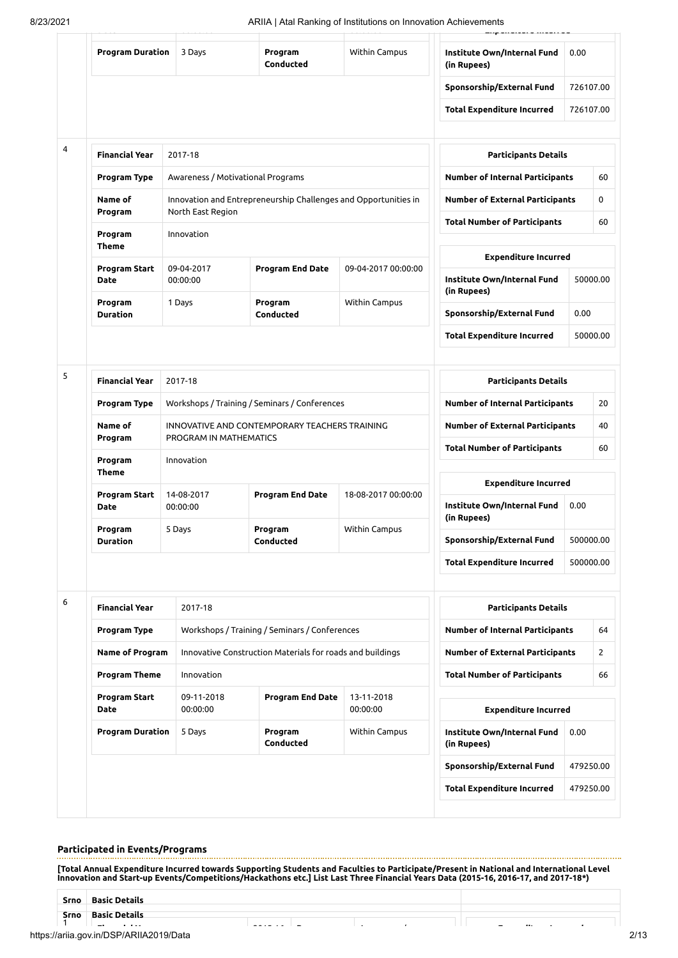8/23/2021 ARIIA | Atal Ranking of Institutions on Innovation Achievements

| ⊆UZ I |                              |                                   | ANIA   Alai Natiking of filstitutions on infloration Achievements |                                        |                                                            |           |    |
|-------|------------------------------|-----------------------------------|-------------------------------------------------------------------|----------------------------------------|------------------------------------------------------------|-----------|----|
|       | <b>Program Duration</b>      | 3 Days                            | Program<br>Conducted                                              | Within Campus                          | Institute Own/Internal Fund<br>(in Rupees)                 | 0.00      |    |
|       |                              |                                   |                                                                   |                                        | Sponsorship/External Fund                                  | 726107.00 |    |
|       |                              |                                   |                                                                   |                                        | <b>Total Expenditure Incurred</b>                          | 726107.00 |    |
| 4     | <b>Financial Year</b>        | 2017-18                           |                                                                   |                                        | <b>Participants Details</b>                                |           |    |
|       | Program Type                 | Awareness / Motivational Programs |                                                                   |                                        | <b>Number of Internal Participants</b>                     |           | 60 |
|       | Name of                      |                                   | Innovation and Entrepreneurship Challenges and Opportunities in   |                                        | <b>Number of External Participants</b>                     |           | 0  |
|       | Program                      | North East Region                 |                                                                   |                                        | <b>Total Number of Participants</b>                        |           | 60 |
|       | Program<br>Theme             | Innovation                        |                                                                   |                                        | <b>Expenditure Incurred</b>                                |           |    |
|       | Program Start<br><b>Date</b> | 09-04-2017<br>00:00:00            | <b>Program End Date</b>                                           | 09-04-2017 00:00:00                    | Institute Own/Internal Fund                                | 50000.00  |    |
|       | Program<br>Duration          | 1 Days                            | Program<br>Conducted                                              | Within Campus                          | (in Rupees)<br>Sponsorship/External Fund                   | 0.00      |    |
|       |                              |                                   |                                                                   |                                        | <b>Total Expenditure Incurred</b>                          | 50000.00  |    |
|       |                              |                                   |                                                                   |                                        |                                                            |           |    |
| 5     | Financial Year               | 2017-18                           |                                                                   |                                        | <b>Participants Details</b>                                |           |    |
|       | Program Type                 |                                   | Workshops / Training / Seminars / Conferences                     |                                        | Number of Internal Participants                            |           | 20 |
|       | Name of<br>Program           | PROGRAM IN MATHEMATICS            | INNOVATIVE AND CONTEMPORARY TEACHERS TRAINING                     | <b>Number of External Participants</b> |                                                            | 40        |    |
|       | Program<br>Theme             | Innovation                        |                                                                   |                                        | <b>Total Number of Participants</b>                        |           | 60 |
|       | Program Start<br>Date        | 14-08-2017<br>00:00:00            | <b>Program End Date</b>                                           | 18-08-2017 00:00:00                    | <b>Expenditure Incurred</b><br>Institute Own/Internal Fund | 0.00      |    |
|       | Program                      | 5 Days                            | Program                                                           | <b>Within Campus</b>                   | (in Rupees)                                                |           |    |
|       | Duration                     |                                   | Conducted                                                         |                                        | Sponsorship/External Fund                                  | 500000.00 |    |
|       |                              |                                   |                                                                   |                                        | <b>Total Expenditure Incurred</b>                          | 500000.00 |    |
| 6     | Financial Year               | 2017-18                           |                                                                   |                                        | <b>Participants Details</b>                                |           |    |
|       | Program Type                 |                                   | Workshops / Training / Seminars / Conferences                     |                                        | Number of Internal Participants                            |           | 64 |
|       | Name of Program              |                                   | Innovative Construction Materials for roads and buildings         |                                        | <b>Number of External Participants</b>                     |           | 2  |
|       | <b>Program Theme</b>         | Innovation                        |                                                                   |                                        | <b>Total Number of Participants</b>                        |           | 66 |
|       | Program Start<br><b>Date</b> | 09-11-2018<br>00:00:00            | <b>Program End Date</b>                                           | 13-11-2018<br>00:00:00                 | <b>Expenditure Incurred</b>                                |           |    |
|       | <b>Program Duration</b>      | 5 Days                            | Program<br>Conducted                                              | Within Campus                          | Institute Own/Internal Fund<br>(in Rupees)                 | 0.00      |    |
|       |                              |                                   |                                                                   |                                        | Sponsorship/External Fund                                  | 479250.00 |    |
|       |                              |                                   |                                                                   |                                        | <b>Total Expenditure Incurred</b>                          |           |    |

### **Participated in Events/Programs**

[Total Annual Expenditure Incurred towards Supporting Students and Faculties to Participate/Present in National and International Level<br>Innovation and Start-up Events/Competitions/Hackathons etc.] List Last Three Financial

| Srno Basic Details            |        |  |  |  |  |
|-------------------------------|--------|--|--|--|--|
| <b>Srno</b> Basic Details     |        |  |  |  |  |
| $\cdot$ $\cdot$ $\cdot$<br>-- | ------ |  |  |  |  |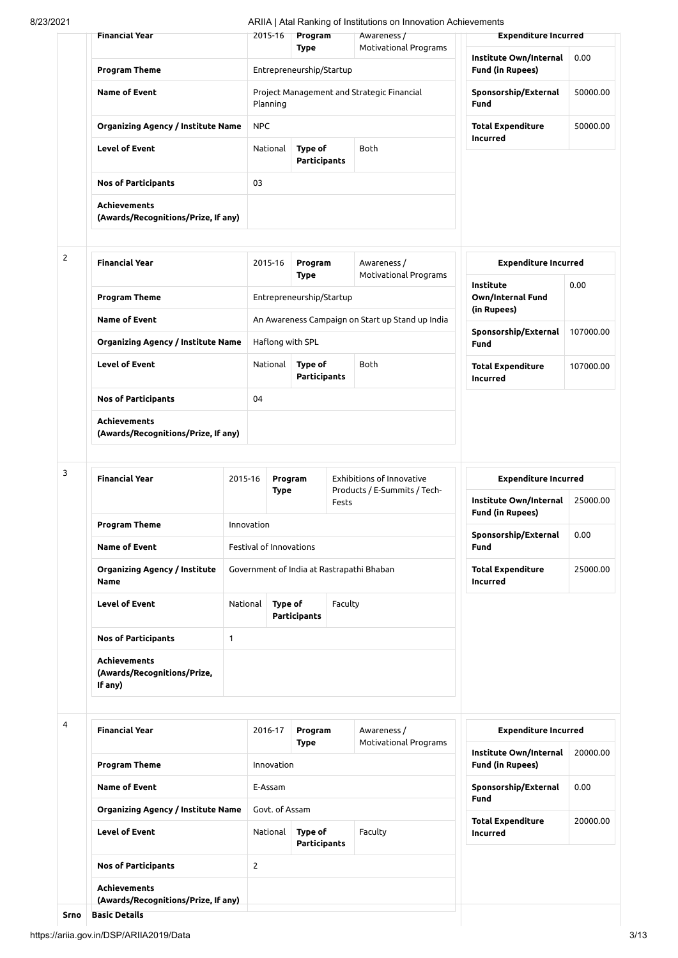| Institute Own/Internal<br>0.00<br><b>Program Theme</b><br>Entrepreneurship/Startup<br><b>Fund (in Rupees)</b><br><b>Name of Event</b><br>Project Management and Strategic Financial<br>Sponsorship/External<br>50000.00<br>Planning<br><b>Fund</b><br>Organizing Agency / Institute Name<br><b>NPC</b><br><b>Total Expenditure</b><br>50000.00<br><b>Incurred</b><br><b>Level of Event</b><br>National<br>Type of<br>Both<br>Participants<br><b>Nos of Participants</b><br>03<br><b>Achievements</b><br>(Awards/Recognitions/Prize, If any)<br><b>Financial Year</b><br><b>Expenditure Incurred</b><br>2015-16<br>Program<br>Awareness /<br><b>Motivational Programs</b><br><b>Type</b><br>Institute<br>0.00<br>Own/Internal Fund<br><b>Program Theme</b><br>Entrepreneurship/Startup<br>(in Rupees)<br><b>Name of Event</b><br>An Awareness Campaign on Start up Stand up India<br>Sponsorship/External<br>107000.00<br><b>Organizing Agency / Institute Name</b><br>Haflong with SPL<br>Fund<br><b>Level of Event</b><br>National<br>Type of<br>Both<br><b>Total Expenditure</b><br>Participants<br><b>Incurred</b><br><b>Nos of Participants</b><br>04<br><b>Achievements</b><br>(Awards/Recognitions/Prize, If any)<br><b>Financial Year</b><br>Exhibitions of Innovative<br><b>Expenditure Incurred</b><br>2015-16<br>Program<br>Products / E-Summits / Tech-<br>Type<br>Institute Own/Internal<br>Fests<br>Fund (in Rupees)<br><b>Program Theme</b><br>Innovation<br>Sponsorship/External<br>0.00<br>Festival of Innovations<br><b>Name of Event</b><br>Fund<br><b>Organizing Agency / Institute</b><br>Government of India at Rastrapathi Bhaban<br><b>Total Expenditure</b><br><b>Incurred</b><br><b>Name</b><br><b>Level of Event</b><br>National<br>Type of<br>Faculty<br><b>Participants</b><br><b>Nos of Participants</b><br>1<br><b>Achievements</b><br>(Awards/Recognitions/Prize,<br>If any)<br><b>Financial Year</b><br>Program<br>Awareness /<br><b>Expenditure Incurred</b><br>2016-17<br>Motivational Programs<br>Type<br>Institute Own/Internal<br><b>Fund (in Rupees)</b><br><b>Program Theme</b><br>Innovation<br><b>Name of Event</b><br>Sponsorship/External<br>0.00<br>E-Assam<br>Fund<br><b>Organizing Agency / Institute Name</b><br>Govt. of Assam<br><b>Total Expenditure</b><br><b>Level of Event</b><br>National<br>Type of<br>Faculty<br><b>Incurred</b><br>Participants<br><b>Nos of Participants</b><br>$\mathbf{2}$ |                | <b>Financial Year</b> |  | 2015-16 |  | Program<br><b>Type</b> |  | Awareness /<br><b>Motivational Programs</b> | <b>Expenditure Incurred</b> |  |
|--------------------------------------------------------------------------------------------------------------------------------------------------------------------------------------------------------------------------------------------------------------------------------------------------------------------------------------------------------------------------------------------------------------------------------------------------------------------------------------------------------------------------------------------------------------------------------------------------------------------------------------------------------------------------------------------------------------------------------------------------------------------------------------------------------------------------------------------------------------------------------------------------------------------------------------------------------------------------------------------------------------------------------------------------------------------------------------------------------------------------------------------------------------------------------------------------------------------------------------------------------------------------------------------------------------------------------------------------------------------------------------------------------------------------------------------------------------------------------------------------------------------------------------------------------------------------------------------------------------------------------------------------------------------------------------------------------------------------------------------------------------------------------------------------------------------------------------------------------------------------------------------------------------------------------------------------------------------------------------------------------------------------------------------------------------------------------------------------------------------------------------------------------------------------------------------------------------------------------------------------------------------------------------------------------------------------------------------------------------------------------------------------------------------------------------------------------|----------------|-----------------------|--|---------|--|------------------------|--|---------------------------------------------|-----------------------------|--|
|                                                                                                                                                                                                                                                                                                                                                                                                                                                                                                                                                                                                                                                                                                                                                                                                                                                                                                                                                                                                                                                                                                                                                                                                                                                                                                                                                                                                                                                                                                                                                                                                                                                                                                                                                                                                                                                                                                                                                                                                                                                                                                                                                                                                                                                                                                                                                                                                                                                        |                |                       |  |         |  |                        |  |                                             |                             |  |
|                                                                                                                                                                                                                                                                                                                                                                                                                                                                                                                                                                                                                                                                                                                                                                                                                                                                                                                                                                                                                                                                                                                                                                                                                                                                                                                                                                                                                                                                                                                                                                                                                                                                                                                                                                                                                                                                                                                                                                                                                                                                                                                                                                                                                                                                                                                                                                                                                                                        |                |                       |  |         |  |                        |  |                                             |                             |  |
|                                                                                                                                                                                                                                                                                                                                                                                                                                                                                                                                                                                                                                                                                                                                                                                                                                                                                                                                                                                                                                                                                                                                                                                                                                                                                                                                                                                                                                                                                                                                                                                                                                                                                                                                                                                                                                                                                                                                                                                                                                                                                                                                                                                                                                                                                                                                                                                                                                                        |                |                       |  |         |  |                        |  |                                             |                             |  |
|                                                                                                                                                                                                                                                                                                                                                                                                                                                                                                                                                                                                                                                                                                                                                                                                                                                                                                                                                                                                                                                                                                                                                                                                                                                                                                                                                                                                                                                                                                                                                                                                                                                                                                                                                                                                                                                                                                                                                                                                                                                                                                                                                                                                                                                                                                                                                                                                                                                        |                |                       |  |         |  |                        |  |                                             |                             |  |
|                                                                                                                                                                                                                                                                                                                                                                                                                                                                                                                                                                                                                                                                                                                                                                                                                                                                                                                                                                                                                                                                                                                                                                                                                                                                                                                                                                                                                                                                                                                                                                                                                                                                                                                                                                                                                                                                                                                                                                                                                                                                                                                                                                                                                                                                                                                                                                                                                                                        |                |                       |  |         |  |                        |  |                                             |                             |  |
|                                                                                                                                                                                                                                                                                                                                                                                                                                                                                                                                                                                                                                                                                                                                                                                                                                                                                                                                                                                                                                                                                                                                                                                                                                                                                                                                                                                                                                                                                                                                                                                                                                                                                                                                                                                                                                                                                                                                                                                                                                                                                                                                                                                                                                                                                                                                                                                                                                                        |                |                       |  |         |  |                        |  |                                             |                             |  |
|                                                                                                                                                                                                                                                                                                                                                                                                                                                                                                                                                                                                                                                                                                                                                                                                                                                                                                                                                                                                                                                                                                                                                                                                                                                                                                                                                                                                                                                                                                                                                                                                                                                                                                                                                                                                                                                                                                                                                                                                                                                                                                                                                                                                                                                                                                                                                                                                                                                        | $\overline{2}$ |                       |  |         |  |                        |  |                                             |                             |  |
|                                                                                                                                                                                                                                                                                                                                                                                                                                                                                                                                                                                                                                                                                                                                                                                                                                                                                                                                                                                                                                                                                                                                                                                                                                                                                                                                                                                                                                                                                                                                                                                                                                                                                                                                                                                                                                                                                                                                                                                                                                                                                                                                                                                                                                                                                                                                                                                                                                                        |                |                       |  |         |  |                        |  |                                             |                             |  |
|                                                                                                                                                                                                                                                                                                                                                                                                                                                                                                                                                                                                                                                                                                                                                                                                                                                                                                                                                                                                                                                                                                                                                                                                                                                                                                                                                                                                                                                                                                                                                                                                                                                                                                                                                                                                                                                                                                                                                                                                                                                                                                                                                                                                                                                                                                                                                                                                                                                        |                |                       |  |         |  |                        |  |                                             |                             |  |
|                                                                                                                                                                                                                                                                                                                                                                                                                                                                                                                                                                                                                                                                                                                                                                                                                                                                                                                                                                                                                                                                                                                                                                                                                                                                                                                                                                                                                                                                                                                                                                                                                                                                                                                                                                                                                                                                                                                                                                                                                                                                                                                                                                                                                                                                                                                                                                                                                                                        |                |                       |  |         |  |                        |  |                                             |                             |  |
| 25000.00<br>25000.00<br>20000.00<br>20000.00                                                                                                                                                                                                                                                                                                                                                                                                                                                                                                                                                                                                                                                                                                                                                                                                                                                                                                                                                                                                                                                                                                                                                                                                                                                                                                                                                                                                                                                                                                                                                                                                                                                                                                                                                                                                                                                                                                                                                                                                                                                                                                                                                                                                                                                                                                                                                                                                           |                |                       |  |         |  |                        |  |                                             | 107000.00                   |  |
|                                                                                                                                                                                                                                                                                                                                                                                                                                                                                                                                                                                                                                                                                                                                                                                                                                                                                                                                                                                                                                                                                                                                                                                                                                                                                                                                                                                                                                                                                                                                                                                                                                                                                                                                                                                                                                                                                                                                                                                                                                                                                                                                                                                                                                                                                                                                                                                                                                                        |                |                       |  |         |  |                        |  |                                             |                             |  |
|                                                                                                                                                                                                                                                                                                                                                                                                                                                                                                                                                                                                                                                                                                                                                                                                                                                                                                                                                                                                                                                                                                                                                                                                                                                                                                                                                                                                                                                                                                                                                                                                                                                                                                                                                                                                                                                                                                                                                                                                                                                                                                                                                                                                                                                                                                                                                                                                                                                        |                |                       |  |         |  |                        |  |                                             |                             |  |
|                                                                                                                                                                                                                                                                                                                                                                                                                                                                                                                                                                                                                                                                                                                                                                                                                                                                                                                                                                                                                                                                                                                                                                                                                                                                                                                                                                                                                                                                                                                                                                                                                                                                                                                                                                                                                                                                                                                                                                                                                                                                                                                                                                                                                                                                                                                                                                                                                                                        | 3              |                       |  |         |  |                        |  |                                             |                             |  |
|                                                                                                                                                                                                                                                                                                                                                                                                                                                                                                                                                                                                                                                                                                                                                                                                                                                                                                                                                                                                                                                                                                                                                                                                                                                                                                                                                                                                                                                                                                                                                                                                                                                                                                                                                                                                                                                                                                                                                                                                                                                                                                                                                                                                                                                                                                                                                                                                                                                        |                |                       |  |         |  |                        |  |                                             |                             |  |
|                                                                                                                                                                                                                                                                                                                                                                                                                                                                                                                                                                                                                                                                                                                                                                                                                                                                                                                                                                                                                                                                                                                                                                                                                                                                                                                                                                                                                                                                                                                                                                                                                                                                                                                                                                                                                                                                                                                                                                                                                                                                                                                                                                                                                                                                                                                                                                                                                                                        |                |                       |  |         |  |                        |  |                                             |                             |  |
|                                                                                                                                                                                                                                                                                                                                                                                                                                                                                                                                                                                                                                                                                                                                                                                                                                                                                                                                                                                                                                                                                                                                                                                                                                                                                                                                                                                                                                                                                                                                                                                                                                                                                                                                                                                                                                                                                                                                                                                                                                                                                                                                                                                                                                                                                                                                                                                                                                                        |                |                       |  |         |  |                        |  |                                             |                             |  |
|                                                                                                                                                                                                                                                                                                                                                                                                                                                                                                                                                                                                                                                                                                                                                                                                                                                                                                                                                                                                                                                                                                                                                                                                                                                                                                                                                                                                                                                                                                                                                                                                                                                                                                                                                                                                                                                                                                                                                                                                                                                                                                                                                                                                                                                                                                                                                                                                                                                        |                |                       |  |         |  |                        |  |                                             |                             |  |
|                                                                                                                                                                                                                                                                                                                                                                                                                                                                                                                                                                                                                                                                                                                                                                                                                                                                                                                                                                                                                                                                                                                                                                                                                                                                                                                                                                                                                                                                                                                                                                                                                                                                                                                                                                                                                                                                                                                                                                                                                                                                                                                                                                                                                                                                                                                                                                                                                                                        |                |                       |  |         |  |                        |  |                                             |                             |  |
|                                                                                                                                                                                                                                                                                                                                                                                                                                                                                                                                                                                                                                                                                                                                                                                                                                                                                                                                                                                                                                                                                                                                                                                                                                                                                                                                                                                                                                                                                                                                                                                                                                                                                                                                                                                                                                                                                                                                                                                                                                                                                                                                                                                                                                                                                                                                                                                                                                                        |                |                       |  |         |  |                        |  |                                             |                             |  |
|                                                                                                                                                                                                                                                                                                                                                                                                                                                                                                                                                                                                                                                                                                                                                                                                                                                                                                                                                                                                                                                                                                                                                                                                                                                                                                                                                                                                                                                                                                                                                                                                                                                                                                                                                                                                                                                                                                                                                                                                                                                                                                                                                                                                                                                                                                                                                                                                                                                        | 4              |                       |  |         |  |                        |  |                                             |                             |  |
|                                                                                                                                                                                                                                                                                                                                                                                                                                                                                                                                                                                                                                                                                                                                                                                                                                                                                                                                                                                                                                                                                                                                                                                                                                                                                                                                                                                                                                                                                                                                                                                                                                                                                                                                                                                                                                                                                                                                                                                                                                                                                                                                                                                                                                                                                                                                                                                                                                                        |                |                       |  |         |  |                        |  |                                             |                             |  |
|                                                                                                                                                                                                                                                                                                                                                                                                                                                                                                                                                                                                                                                                                                                                                                                                                                                                                                                                                                                                                                                                                                                                                                                                                                                                                                                                                                                                                                                                                                                                                                                                                                                                                                                                                                                                                                                                                                                                                                                                                                                                                                                                                                                                                                                                                                                                                                                                                                                        |                |                       |  |         |  |                        |  |                                             |                             |  |
|                                                                                                                                                                                                                                                                                                                                                                                                                                                                                                                                                                                                                                                                                                                                                                                                                                                                                                                                                                                                                                                                                                                                                                                                                                                                                                                                                                                                                                                                                                                                                                                                                                                                                                                                                                                                                                                                                                                                                                                                                                                                                                                                                                                                                                                                                                                                                                                                                                                        |                |                       |  |         |  |                        |  |                                             |                             |  |
|                                                                                                                                                                                                                                                                                                                                                                                                                                                                                                                                                                                                                                                                                                                                                                                                                                                                                                                                                                                                                                                                                                                                                                                                                                                                                                                                                                                                                                                                                                                                                                                                                                                                                                                                                                                                                                                                                                                                                                                                                                                                                                                                                                                                                                                                                                                                                                                                                                                        |                |                       |  |         |  |                        |  |                                             |                             |  |
|                                                                                                                                                                                                                                                                                                                                                                                                                                                                                                                                                                                                                                                                                                                                                                                                                                                                                                                                                                                                                                                                                                                                                                                                                                                                                                                                                                                                                                                                                                                                                                                                                                                                                                                                                                                                                                                                                                                                                                                                                                                                                                                                                                                                                                                                                                                                                                                                                                                        |                |                       |  |         |  |                        |  |                                             |                             |  |

https://ariia.gov.in/DSP/ARIIA2019/Data 3/13

**(Awards/Recognitions/Prize, If any)**

**Srno Basic Details**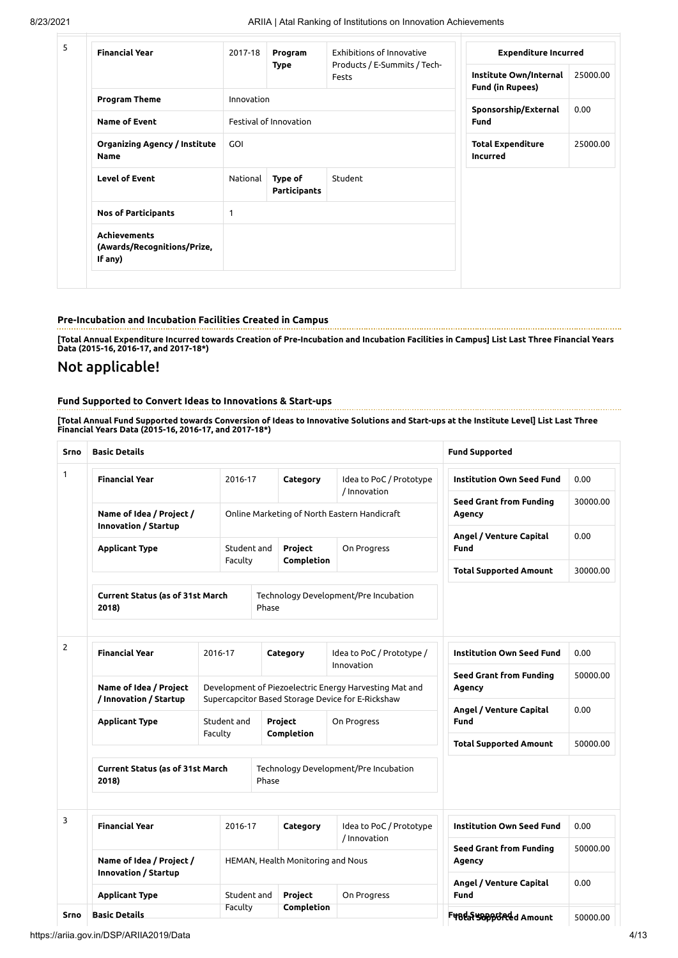| <b>Financial Year</b>                                  | 2017-18    | Program                        | Exhibitions of Innovative             | <b>Expenditure Incurred</b>                       |          |
|--------------------------------------------------------|------------|--------------------------------|---------------------------------------|---------------------------------------------------|----------|
|                                                        |            | Type                           | Products / E-Summits / Tech-<br>Fests | Institute Own/Internal<br><b>Fund (in Rupees)</b> | 25000.00 |
| <b>Program Theme</b>                                   | Innovation |                                |                                       | Sponsorship/External                              | 0.00     |
| <b>Name of Event</b>                                   |            | Festival of Innovation         |                                       | <b>Fund</b>                                       |          |
| <b>Organizing Agency / Institute</b><br><b>Name</b>    | <b>GOI</b> |                                |                                       | <b>Total Expenditure</b><br><b>Incurred</b>       | 25000.00 |
| <b>Level of Event</b>                                  | National   | Type of<br><b>Participants</b> | Student                               |                                                   |          |
| <b>Nos of Participants</b>                             | 1          |                                |                                       |                                                   |          |
| Achievements<br>(Awards/Recognitions/Prize,<br>If any) |            |                                |                                       |                                                   |          |

## **Pre-Incubation and Incubation Facilities Created in Campus**

[Total Annual Expenditure Incurred towards Creation of Pre-Incubation and Incubation Facilities in Campus] List Last Three Financial Years<br>Data (2015-16, 2016-17, and 2017-18\*)

## Not applicable!

#### **Fund Supported to Convert Ideas to Innovations & Start-ups**

[Total Annual Fund Supported towards Conversion of Ideas to Innovative Solutions and Start-ups at the Institute Level] List Last Three<br>Financial Years Data (2015-16, 2016-17, and 2017-18\*)

| Srno           | <b>Basic Details</b>                             |                        |                                                              |                                   |                                              | <b>Fund Supported</b>                    |          |  |
|----------------|--------------------------------------------------|------------------------|--------------------------------------------------------------|-----------------------------------|----------------------------------------------|------------------------------------------|----------|--|
| $\mathbf{1}$   | <b>Financial Year</b>                            | 2016-17                | Category                                                     |                                   | Idea to PoC / Prototype<br>/ Innovation      | <b>Institution Own Seed Fund</b>         | 0.00     |  |
|                | Name of Idea / Project /<br>Innovation / Startup |                        |                                                              |                                   | Online Marketing of North Eastern Handicraft | <b>Seed Grant from Funding</b><br>Agency | 30000.00 |  |
|                | <b>Applicant Type</b>                            |                        | Student and                                                  | Project                           | On Progress                                  | Angel / Venture Capital<br><b>Fund</b>   | 0.00     |  |
|                |                                                  | Faculty                |                                                              | Completion                        |                                              | <b>Total Supported Amount</b>            | 30000.00 |  |
|                | Current Status (as of 31st March<br>2018)        |                        | Phase                                                        |                                   | Technology Development/Pre Incubation        |                                          |          |  |
| $\overline{2}$ | <b>Financial Year</b>                            | 2016-17                |                                                              | Category                          | Idea to PoC / Prototype /<br>Innovation      | <b>Institution Own Seed Fund</b>         | 0.00     |  |
|                | Name of Idea / Project                           |                        | Development of Piezoelectric Energy Harvesting Mat and       |                                   |                                              | <b>Seed Grant from Funding</b><br>Agency | 50000.00 |  |
|                | / Innovation / Startup<br><b>Applicant Type</b>  | Student and            | Supercapcitor Based Storage Device for E-Rickshaw<br>Project |                                   | On Progress                                  | Angel / Venture Capital<br>Fund          | 0.00     |  |
|                |                                                  | Faculty                |                                                              | Completion                        |                                              | <b>Total Supported Amount</b>            | 50000.00 |  |
|                | Current Status (as of 31st March<br>2018)        |                        | Phase                                                        |                                   | Technology Development/Pre Incubation        |                                          |          |  |
| 3              | <b>Financial Year</b>                            | 2016-17                |                                                              | Category                          | Idea to PoC / Prototype                      | <b>Institution Own Seed Fund</b>         | 0.00     |  |
|                | Name of Idea / Project /                         |                        |                                                              | HEMAN, Health Monitoring and Nous | / Innovation                                 | <b>Seed Grant from Funding</b><br>Agency | 50000.00 |  |
|                | Innovation / Startup                             |                        |                                                              |                                   |                                              | Angel / Venture Capital                  | 0.00     |  |
|                | <b>Applicant Type</b>                            | Student and<br>Faculty |                                                              | Project<br>Completion             | On Progress                                  | Fund                                     |          |  |
| <b>Srno</b>    | <b>Basic Details</b>                             |                        |                                                              |                                   |                                              | F4842 Seppotadd Amount                   | 50000.00 |  |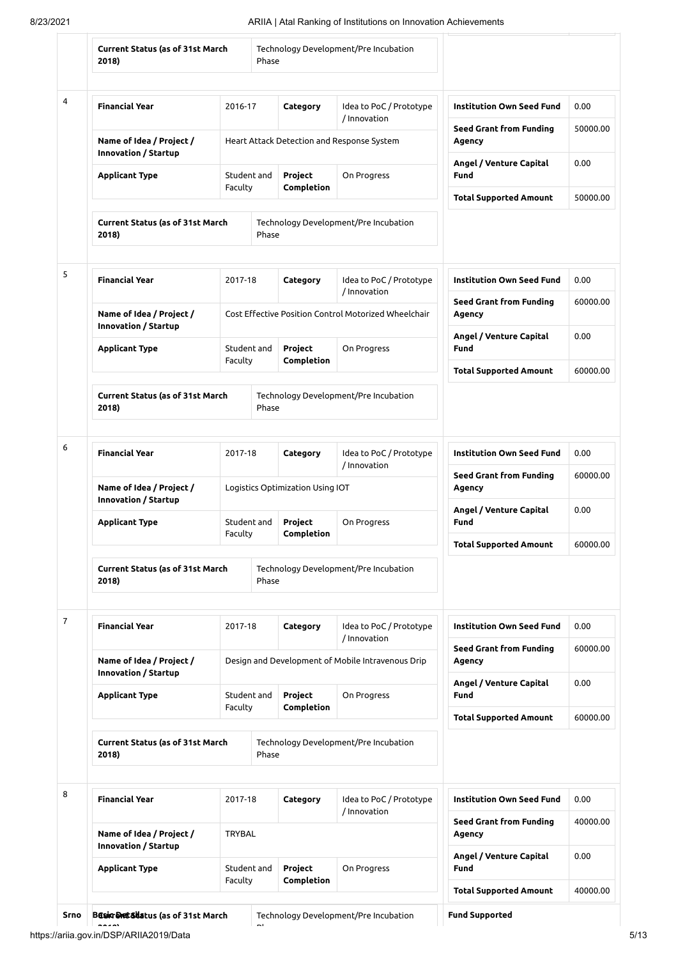|      | <b>Current Status (as of 31st March</b><br>2018)        |                        | Phase                                      |                                  | Technology Development/Pre Incubation                |                                          |          |
|------|---------------------------------------------------------|------------------------|--------------------------------------------|----------------------------------|------------------------------------------------------|------------------------------------------|----------|
| 4    | <b>Financial Year</b>                                   | 2016-17                |                                            | Category                         | Idea to PoC / Prototype<br>/ Innovation              | Institution Own Seed Fund                | 0.00     |
|      | Name of Idea / Project /<br><b>Innovation / Startup</b> |                        | Heart Attack Detection and Response System |                                  |                                                      | <b>Seed Grant from Funding</b><br>Agency | 50000.00 |
|      | <b>Applicant Type</b>                                   | Student and<br>Faculty |                                            | Project<br>Completion            | On Progress                                          | Angel / Venture Capital<br><b>Fund</b>   | 0.00     |
|      | <b>Current Status (as of 31st March</b><br>2018)        |                        | Phase                                      |                                  | Technology Development/Pre Incubation                | <b>Total Supported Amount</b>            | 50000.00 |
|      |                                                         |                        |                                            |                                  |                                                      |                                          |          |
| 5    | <b>Financial Year</b>                                   | 2017-18                |                                            | Category                         | Idea to PoC / Prototype<br>/ Innovation              | <b>Institution Own Seed Fund</b>         | 0.00     |
|      | Name of Idea / Project /<br><b>Innovation / Startup</b> |                        |                                            |                                  | Cost Effective Position Control Motorized Wheelchair | <b>Seed Grant from Funding</b><br>Agency | 60000.00 |
|      | <b>Applicant Type</b>                                   | Student and<br>Faculty |                                            | Project<br>Completion            | On Progress                                          | Angel / Venture Capital<br><b>Fund</b>   | 0.00     |
|      |                                                         |                        |                                            |                                  |                                                      | <b>Total Supported Amount</b>            | 60000.00 |
|      | <b>Current Status (as of 31st March</b><br>2018)        |                        | Phase                                      |                                  | Technology Development/Pre Incubation                |                                          |          |
| 6    | <b>Financial Year</b>                                   | 2017-18                |                                            | Category                         | Idea to PoC / Prototype<br>/ Innovation              | <b>Institution Own Seed Fund</b>         | 0.00     |
|      | Name of Idea / Project /<br>Innovation / Startup        |                        |                                            | Logistics Optimization Using IOT |                                                      | <b>Seed Grant from Funding</b><br>Agency | 60000.00 |
|      | <b>Applicant Type</b>                                   | Student and<br>Faculty |                                            | Project<br>Completion            | On Progress                                          | Angel / Venture Capital<br>Fund          | 0.00     |
|      |                                                         |                        |                                            |                                  |                                                      | <b>Total Supported Amount</b>            | 60000.00 |
|      | <b>Current Status (as of 31st March</b><br>2018)        |                        | Phase                                      |                                  | Technology Development/Pre Incubation                |                                          |          |
| 7    | <b>Financial Year</b>                                   | 2017-18                |                                            | Category                         | Idea to PoC / Prototype<br>/ Innovation              | <b>Institution Own Seed Fund</b>         | 0.00     |
|      | Name of Idea / Project /<br><b>Innovation / Startup</b> |                        |                                            |                                  | Design and Development of Mobile Intravenous Drip    | <b>Seed Grant from Funding</b><br>Agency | 60000.00 |
|      | <b>Applicant Type</b>                                   | Student and<br>Faculty |                                            | Project<br>Completion            | On Progress                                          | Angel / Venture Capital<br>Fund          | 0.00     |
|      |                                                         |                        |                                            |                                  |                                                      | <b>Total Supported Amount</b>            | 60000.00 |
|      | <b>Current Status (as of 31st March</b><br>2018)        |                        | Phase                                      |                                  | Technology Development/Pre Incubation                |                                          |          |
| 8    | <b>Financial Year</b>                                   | 2017-18                |                                            | Category                         | Idea to PoC / Prototype                              | <b>Institution Own Seed Fund</b>         | 0.00     |
|      | Name of Idea / Project /                                | <b>TRYBAL</b>          |                                            |                                  | / Innovation                                         | <b>Seed Grant from Funding</b><br>Agency | 40000.00 |
|      | Innovation / Startup<br><b>Applicant Type</b>           | Student and            |                                            | Project                          | On Progress                                          | Angel / Venture Capital<br>Fund          | 0.00     |
|      |                                                         | Faculty                |                                            | Completion                       |                                                      | <b>Total Supported Amount</b>            | 40000.00 |
| Srno | Besignet silatus (as of 31st March                      |                        |                                            |                                  | Technology Development/Pre Incubation                | <b>Fund Supported</b>                    |          |

 $\mathbb{R}^n$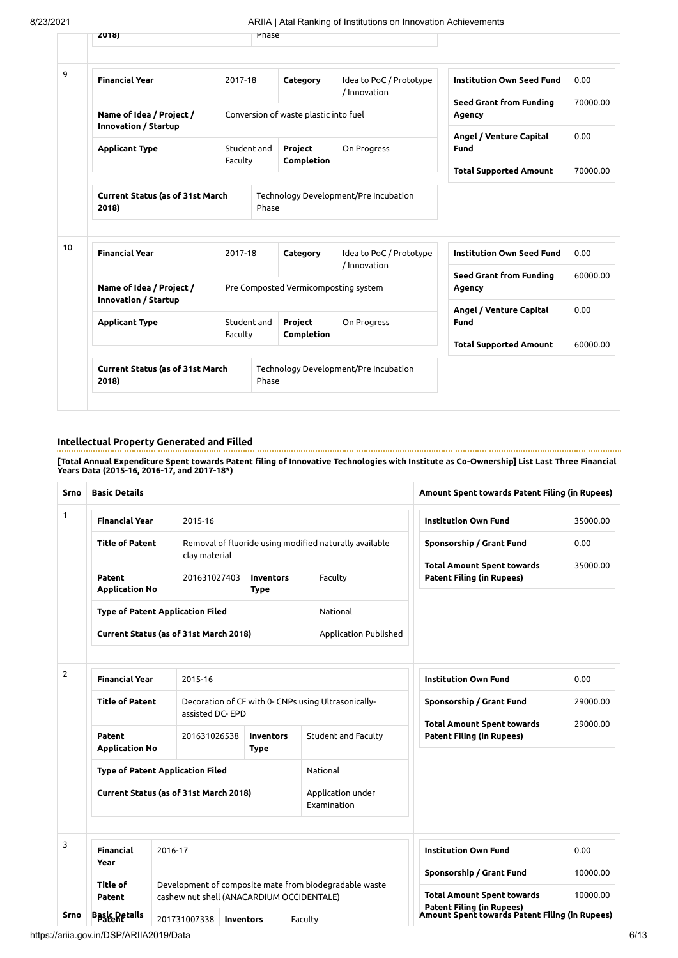| 2018)                                                   |  |             | Phase                                 |                                         |                                          |                  |
|---------------------------------------------------------|--|-------------|---------------------------------------|-----------------------------------------|------------------------------------------|------------------|
|                                                         |  |             |                                       |                                         |                                          |                  |
| <b>Financial Year</b>                                   |  | 2017-18     | Category                              | Idea to PoC / Prototype<br>/ Innovation | <b>Institution Own Seed Fund</b>         | 0.00             |
| Name of Idea / Project /<br><b>Innovation / Startup</b> |  |             | Conversion of waste plastic into fuel |                                         | <b>Seed Grant from Funding</b><br>Agency | 70000.00         |
| <b>Applicant Type</b>                                   |  | Student and | Project                               | On Progress                             | Angel / Venture Capital<br>Fund          | 0.00             |
|                                                         |  | Faculty     | Completion                            |                                         | <b>Total Supported Amount</b>            | 70000.00         |
| <b>Current Status (as of 31st March</b><br>2018)        |  |             | Phase                                 | Technology Development/Pre Incubation   |                                          |                  |
|                                                         |  |             |                                       |                                         |                                          |                  |
| <b>Financial Year</b>                                   |  | 2017-18     | Category                              | Idea to PoC / Prototype                 | <b>Institution Own Seed Fund</b>         | 0.00             |
| Name of Idea / Project /                                |  |             | Pre Composted Vermicomposting system  | / Innovation                            | <b>Seed Grant from Funding</b><br>Agency |                  |
| Innovation / Startup<br><b>Applicant Type</b>           |  | Student and | Project                               | On Progress                             | Angel / Venture Capital<br>Fund          | 60000.00<br>0.00 |
|                                                         |  | Faculty     | Completion                            |                                         | <b>Total Supported Amount</b>            | 60000.00         |

## **Intellectual Property Generated and Filled**

[Total Annual Expenditure Spent towards Patent filing of Innovative Technologies with Institute as Co-Ownership] List Last Three Financial<br>Years Data (2015-16, 2016-17, and 2017-18\*)

| Srno           | <b>Basic Details</b>            |                                           |                                 |                                                        | Amount Spent towards Patent Filing (in Rupees)                              |          |
|----------------|---------------------------------|-------------------------------------------|---------------------------------|--------------------------------------------------------|-----------------------------------------------------------------------------|----------|
| 1              | <b>Financial Year</b>           | 2015-16                                   |                                 |                                                        | <b>Institution Own Fund</b>                                                 | 35000.00 |
|                | <b>Title of Patent</b>          | clay material                             |                                 | Removal of fluoride using modified naturally available | Sponsorship / Grant Fund                                                    | 0.00     |
|                | Patent<br><b>Application No</b> | 201631027403                              | <b>Inventors</b><br><b>Type</b> | Faculty                                                | <b>Total Amount Spent towards</b><br><b>Patent Filing (in Rupees)</b>       | 35000.00 |
|                |                                 | <b>Type of Patent Application Filed</b>   |                                 | National                                               |                                                                             |          |
|                |                                 | Current Status (as of 31st March 2018)    |                                 | Application Published                                  |                                                                             |          |
| $\overline{2}$ | <b>Financial Year</b>           | 2015-16                                   |                                 |                                                        | <b>Institution Own Fund</b>                                                 | 0.00     |
|                | <b>Title of Patent</b>          | assisted DC-EPD                           |                                 | Decoration of CF with 0- CNPs using Ultrasonically-    | Sponsorship / Grant Fund                                                    | 29000.00 |
|                | Patent<br><b>Application No</b> | 201631026538                              | <b>Inventors</b><br>Type        | Student and Faculty                                    | <b>Total Amount Spent towards</b><br><b>Patent Filing (in Rupees)</b>       | 29000.00 |
|                |                                 | <b>Type of Patent Application Filed</b>   |                                 | National                                               |                                                                             |          |
|                |                                 | Current Status (as of 31st March 2018)    |                                 | Application under<br>Examination                       |                                                                             |          |
| 3              | Financial<br>Year               | 2016-17                                   |                                 |                                                        | <b>Institution Own Fund</b>                                                 | 0.00     |
|                | Title of                        |                                           |                                 | Development of composite mate from biodegradable waste | Sponsorship / Grant Fund                                                    | 10000.00 |
|                | Patent                          | cashew nut shell (ANACARDIUM OCCIDENTALE) |                                 |                                                        | <b>Total Amount Spent towards</b>                                           | 10000.00 |
| Srno           | <b>Basic Details</b>            | 201731007338                              | <b>Inventors</b>                | Faculty                                                | Patent Filing (in Rupees)<br>Amount Spent towards Patent Filing (in Rupees) |          |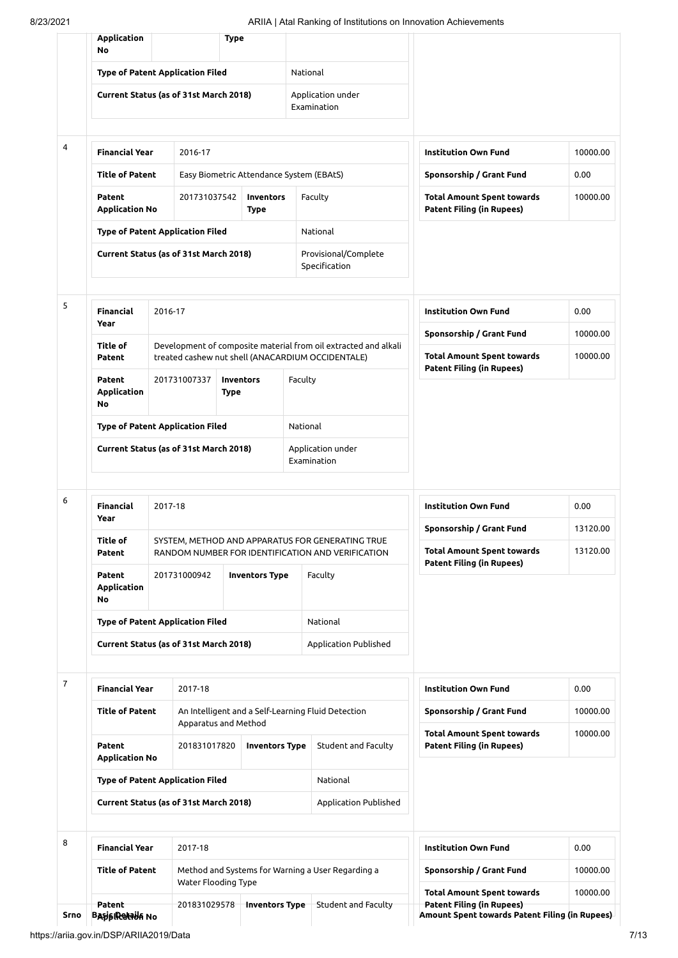|                | <b>Application</b><br>No               |                                                                                                                      | <b>Type</b>                              |                          |          |                                                                                                       |                                                                                                                         |          |
|----------------|----------------------------------------|----------------------------------------------------------------------------------------------------------------------|------------------------------------------|--------------------------|----------|-------------------------------------------------------------------------------------------------------|-------------------------------------------------------------------------------------------------------------------------|----------|
|                |                                        |                                                                                                                      | <b>Type of Patent Application Filed</b>  |                          | National |                                                                                                       |                                                                                                                         |          |
|                |                                        |                                                                                                                      | Current Status (as of 31st March 2018)   |                          |          | Application under<br>Examination                                                                      |                                                                                                                         |          |
| 4              | <b>Financial Year</b>                  |                                                                                                                      |                                          |                          |          |                                                                                                       |                                                                                                                         |          |
|                |                                        |                                                                                                                      | 2016-17                                  |                          |          |                                                                                                       | <b>Institution Own Fund</b>                                                                                             | 10000.00 |
|                | <b>Title of Patent</b>                 |                                                                                                                      | Easy Biometric Attendance System (EBAtS) |                          |          |                                                                                                       | Sponsorship / Grant Fund                                                                                                | 0.00     |
|                | Patent<br><b>Application No</b>        |                                                                                                                      | 201731037542                             | <b>Inventors</b><br>Type |          | Faculty                                                                                               | <b>Total Amount Spent towards</b><br><b>Patent Filing (in Rupees)</b>                                                   | 10000.00 |
|                |                                        |                                                                                                                      | <b>Type of Patent Application Filed</b>  |                          |          | National                                                                                              |                                                                                                                         |          |
|                | Current Status (as of 31st March 2018) |                                                                                                                      |                                          |                          |          | Provisional/Complete<br>Specification                                                                 |                                                                                                                         |          |
| 5              | Financial                              | 2016-17                                                                                                              |                                          |                          |          |                                                                                                       | <b>Institution Own Fund</b>                                                                                             | 0.00     |
|                |                                        | Year<br>Title of                                                                                                     |                                          |                          |          |                                                                                                       | Sponsorship / Grant Fund                                                                                                | 10000.00 |
|                | Patent                                 | Development of composite material from oil extracted and alkali<br>treated cashew nut shell (ANACARDIUM OCCIDENTALE) |                                          |                          |          |                                                                                                       | <b>Total Amount Spent towards</b><br><b>Patent Filing (in Rupees)</b>                                                   | 10000.00 |
|                | Patent<br>Application<br>No            |                                                                                                                      | 201731007337<br>Type                     | <b>Inventors</b>         | Faculty  |                                                                                                       |                                                                                                                         |          |
|                |                                        |                                                                                                                      | <b>Type of Patent Application Filed</b>  |                          | National |                                                                                                       |                                                                                                                         |          |
|                |                                        |                                                                                                                      | Current Status (as of 31st March 2018)   |                          |          | Application under<br>Examination                                                                      |                                                                                                                         |          |
| 6              | Financial                              | 2017-18                                                                                                              |                                          |                          |          |                                                                                                       | <b>Institution Own Fund</b>                                                                                             | 0.00     |
|                | Year                                   |                                                                                                                      |                                          |                          |          |                                                                                                       | Sponsorship / Grant Fund                                                                                                | 13120.00 |
|                | Title of<br>Patent                     |                                                                                                                      |                                          |                          |          | SYSTEM, METHOD AND APPARATUS FOR GENERATING TRUE<br>RANDOM NUMBER FOR IDENTIFICATION AND VERIFICATION | <b>Total Amount Spent towards</b><br><b>Patent Filing (in Rupees)</b>                                                   | 13120.00 |
|                | Patent<br><b>Application</b><br>No     |                                                                                                                      | 201731000942                             | <b>Inventors Type</b>    | Faculty  |                                                                                                       |                                                                                                                         |          |
|                |                                        |                                                                                                                      | <b>Type of Patent Application Filed</b>  |                          |          | National                                                                                              |                                                                                                                         |          |
|                |                                        |                                                                                                                      | Current Status (as of 31st March 2018)   |                          |          | Application Published                                                                                 |                                                                                                                         |          |
| $\overline{7}$ | <b>Financial Year</b>                  |                                                                                                                      | 2017-18                                  |                          |          |                                                                                                       | <b>Institution Own Fund</b>                                                                                             | 0.00     |
|                | <b>Title of Patent</b>                 |                                                                                                                      |                                          |                          |          | An Intelligent and a Self-Learning Fluid Detection                                                    | Sponsorship / Grant Fund                                                                                                | 10000.00 |
|                | Patent                                 |                                                                                                                      | Apparatus and Method<br>201831017820     | <b>Inventors Type</b>    |          | Student and Faculty                                                                                   | <b>Total Amount Spent towards</b><br><b>Patent Filing (in Rupees)</b>                                                   | 10000.00 |
|                | <b>Application No</b>                  |                                                                                                                      |                                          |                          |          |                                                                                                       |                                                                                                                         |          |
|                |                                        |                                                                                                                      | <b>Type of Patent Application Filed</b>  |                          |          | National                                                                                              |                                                                                                                         |          |
|                | Current Status (as of 31st March 2018) |                                                                                                                      |                                          |                          |          | Application Published                                                                                 |                                                                                                                         |          |
| 8              | <b>Financial Year</b>                  |                                                                                                                      | 2017-18                                  |                          |          |                                                                                                       | <b>Institution Own Fund</b>                                                                                             | 0.00     |
|                | <b>Title of Patent</b>                 |                                                                                                                      | Water Flooding Type                      |                          |          | Method and Systems for Warning a User Regarding a                                                     | Sponsorship / Grant Fund                                                                                                | 10000.00 |
| Srno           | Patent<br><b>BASIS ROUGHING</b> NO     |                                                                                                                      | 201831029578                             | Inventors Type           |          | Student and Faculty                                                                                   | <b>Total Amount Spent towards</b><br><b>Patent Filing (in Rupees)</b><br>Amount Spent towards Patent Filing (in Rupees) | 10000.00 |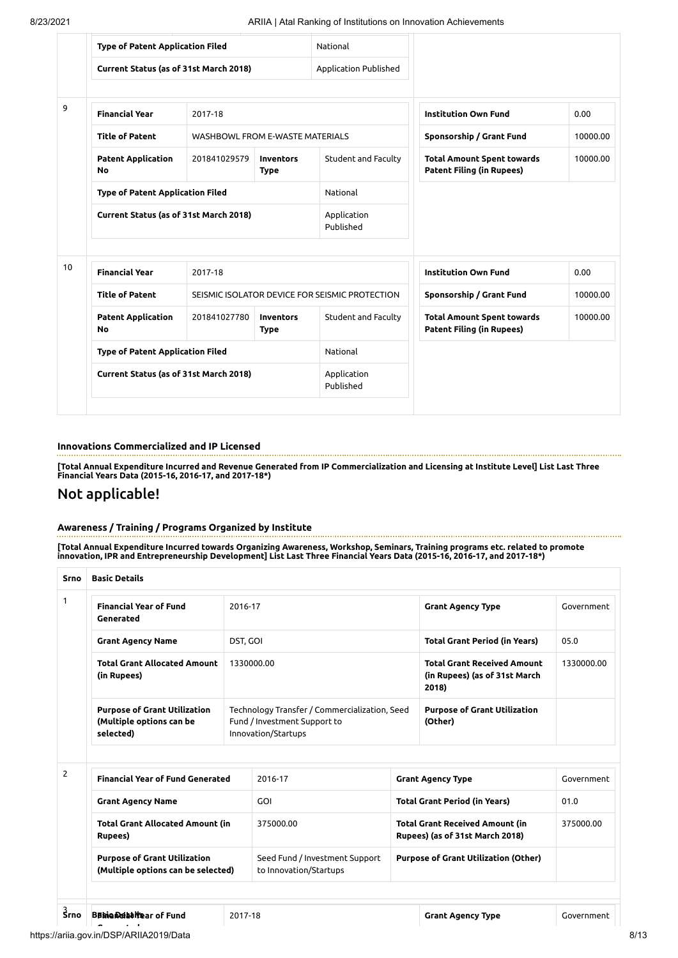| <b>Type of Patent Application Filed</b> |                                        |                                 | National                                       |                                                                       |
|-----------------------------------------|----------------------------------------|---------------------------------|------------------------------------------------|-----------------------------------------------------------------------|
| Current Status (as of 31st March 2018)  |                                        |                                 | <b>Application Published</b>                   |                                                                       |
|                                         |                                        |                                 |                                                |                                                                       |
| <b>Financial Year</b>                   | 2017-18                                |                                 |                                                | <b>Institution Own Fund</b>                                           |
| <b>Title of Patent</b>                  | <b>WASHBOWL FROM E-WASTE MATERIALS</b> |                                 |                                                | Sponsorship / Grant Fund                                              |
| <b>Patent Application</b><br>No         | 201841029579                           | <b>Inventors</b><br><b>Type</b> | Student and Faculty                            | <b>Total Amount Spent towards</b><br><b>Patent Filing (in Rupees)</b> |
| <b>Type of Patent Application Filed</b> |                                        |                                 | National                                       |                                                                       |
| Current Status (as of 31st March 2018)  |                                        |                                 | Application<br>Published                       |                                                                       |
|                                         | 2017-18                                |                                 |                                                | <b>Institution Own Fund</b>                                           |
| <b>Financial Year</b>                   |                                        |                                 |                                                |                                                                       |
| <b>Title of Patent</b>                  |                                        |                                 | SEISMIC ISOLATOR DEVICE FOR SEISMIC PROTECTION | Sponsorship / Grant Fund                                              |
| <b>Patent Application</b><br>No         | 201841027780                           | <b>Inventors</b><br><b>Type</b> | Student and Faculty                            | <b>Total Amount Spent towards</b><br><b>Patent Filing (in Rupees)</b> |
| <b>Type of Patent Application Filed</b> |                                        |                                 | National                                       |                                                                       |

#### **Innovations Commercialized and IP Licensed**

[Total Annual Expenditure Incurred and Revenue Generated from IP Commercialization and Licensing at Institute Level] List Last Three<br>Financial Years Data (2015-16, 2016-17, and 2017-18\*)

## Not applicable!

## **Awareness / Training / Programs Organized by Institute**

[Total Annual Expenditure Incurred towards Organizing Awareness, Workshop, Seminars, Training programs etc. related to promote<br>innovation, IPR and Entrepreneurship Development] List Last Three Financial Years Data (2015-16

| Srno             | <b>Basic Details</b>                                                         |          |                                                                                                      |                          |                                                                              |            |
|------------------|------------------------------------------------------------------------------|----------|------------------------------------------------------------------------------------------------------|--------------------------|------------------------------------------------------------------------------|------------|
| 1                | <b>Financial Year of Fund</b><br>Generated                                   | 2016-17  |                                                                                                      |                          | <b>Grant Agency Type</b>                                                     | Government |
|                  | <b>Grant Agency Name</b>                                                     | DST, GOI |                                                                                                      |                          | <b>Total Grant Period (in Years)</b>                                         | 05.0       |
|                  | <b>Total Grant Allocated Amount</b><br>(in Rupees)                           |          | 1330000.00                                                                                           |                          | <b>Total Grant Received Amount</b><br>(in Rupees) (as of 31st March<br>2018) | 1330000.00 |
|                  | <b>Purpose of Grant Utilization</b><br>(Multiple options can be<br>selected) |          | Technology Transfer / Commercialization, Seed<br>Fund / Investment Support to<br>Innovation/Startups |                          | <b>Purpose of Grant Utilization</b><br>(Other)                               |            |
| $\overline{2}$   | <b>Financial Year of Fund Generated</b>                                      |          | 2016-17                                                                                              | <b>Grant Agency Type</b> | Government                                                                   |            |
|                  | <b>Grant Agency Name</b>                                                     |          | GOI                                                                                                  |                          | <b>Total Grant Period (in Years)</b>                                         | 01.0       |
|                  | <b>Total Grant Allocated Amount (in</b><br>Rupees)                           |          | 375000.00                                                                                            |                          | <b>Total Grant Received Amount (in</b><br>Rupees) (as of 31st March 2018)    | 375000.00  |
|                  | <b>Purpose of Grant Utilization</b><br>(Multiple options can be selected)    |          | Seed Fund / Investment Support<br>to Innovation/Startups                                             |                          | <b>Purpose of Grant Utilization (Other)</b>                                  |            |
| 3 <sub>rno</sub> | Busing Death Wear of Fund                                                    | 2017-18  |                                                                                                      | <b>Grant Agency Type</b> | Government                                                                   |            |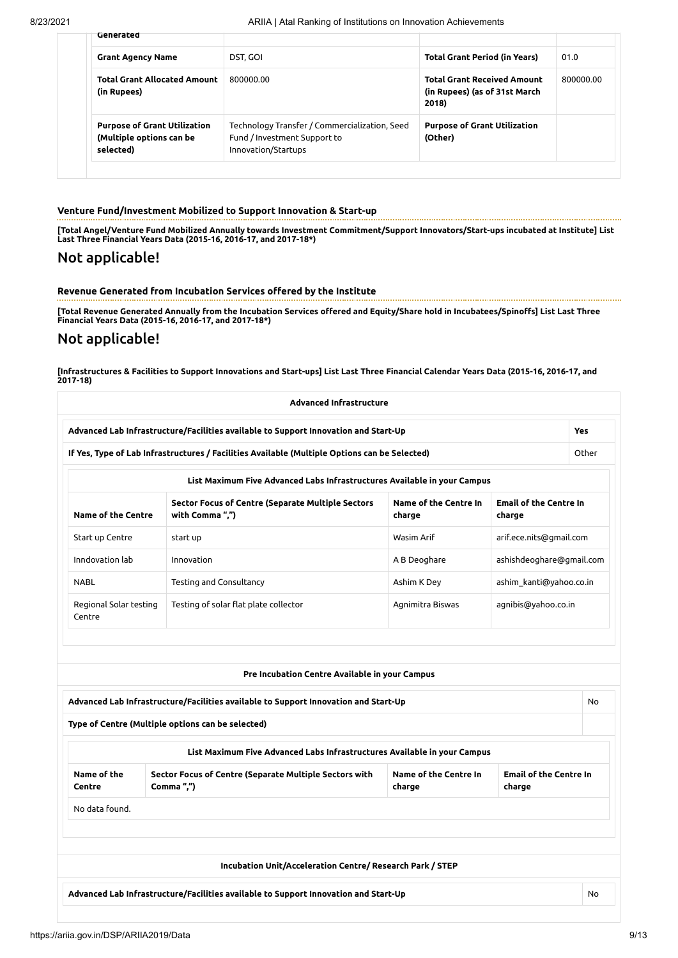| Generated                                                                    |                                                                                                      |                                                                              |           |
|------------------------------------------------------------------------------|------------------------------------------------------------------------------------------------------|------------------------------------------------------------------------------|-----------|
| <b>Grant Agency Name</b>                                                     | DST. GOI                                                                                             | <b>Total Grant Period (in Years)</b>                                         | 01.0      |
| <b>Total Grant Allocated Amount</b><br>(in Rupees)                           | 800000.00                                                                                            | <b>Total Grant Received Amount</b><br>(in Rupees) (as of 31st March<br>2018) | 800000.00 |
| <b>Purpose of Grant Utilization</b><br>(Multiple options can be<br>selected) | Technology Transfer / Commercialization, Seed<br>Fund / Investment Support to<br>Innovation/Startups | <b>Purpose of Grant Utilization</b><br>(Other)                               |           |

#### **Venture Fund/Investment Mobilized to Support Innovation & Start-up**

[Total Angel/Venture Fund Mobilized Annually towards Investment Commitment/Support Innovators/Start-ups incubated at Institute] List<br>Last Three Financial Years Data (2015-16, 2016-17, and 2017-18\*)

## Not applicable!

## **Revenue Generated from Incubation Services offered by the Institute**

[Total Revenue Generated Annually from the Incubation Services offered and Equity/Share hold in Incubatees/Spinoffs] List Last Three<br>Financial Years Data (2015-16, 2016-17, and 2017-18\*)

## Not applicable!

[Infrastructures & Facilities to Support Innovations and Start-ups] List Last Three Financial Calendar Years Data (2015-16, 2016-17, and<br>2017-18)

|                                         | Advanced Lab Infrastructure/Facilities available to Support Innovation and Start-Up           |                                        |                                         | <b>Yes</b> |
|-----------------------------------------|-----------------------------------------------------------------------------------------------|----------------------------------------|-----------------------------------------|------------|
|                                         | If Yes, Type of Lab Infrastructures / Facilities Available (Multiple Options can be Selected) |                                        |                                         | Other      |
|                                         | List Maximum Five Advanced Labs Infrastructures Available in your Campus                      |                                        |                                         |            |
| <b>Name of the Centre</b>               | Sector Focus of Centre (Separate Multiple Sectors<br>with Comma ",")                          | <b>Name of the Centre In</b><br>charge | <b>Email of the Centre In</b><br>charge |            |
| Start up Centre                         | start up                                                                                      | Wasim Arif                             | arif.ece.nits@gmail.com                 |            |
| Inndovation lab                         | Innovation                                                                                    | A B Deoghare                           | ashishdeoghare@gmail.com                |            |
| <b>NABL</b>                             | <b>Testing and Consultancy</b>                                                                | Ashim K Dey                            | ashim kanti@yahoo.co.in                 |            |
| Regional Solar testing<br>Centre        | Agnimitra Biswas                                                                              | agnibis@yahoo.co.in                    |                                         |            |
|                                         | Pre Incubation Centre Available in your Campus                                                |                                        |                                         |            |
|                                         | Advanced Lab Infrastructure/Facilities available to Support Innovation and Start-Up           |                                        |                                         | <b>No</b>  |
|                                         | Type of Centre (Multiple options can be selected)                                             |                                        |                                         |            |
|                                         |                                                                                               |                                        |                                         |            |
|                                         | List Maximum Five Advanced Labs Infrastructures Available in your Campus                      |                                        |                                         |            |
|                                         | Sector Focus of Centre (Separate Multiple Sectors with<br>Comma ",")                          | Name of the Centre In<br>charge        | <b>Email of the Centre In</b><br>charge |            |
| Name of the<br>Centre<br>No data found. |                                                                                               |                                        |                                         |            |
|                                         |                                                                                               |                                        |                                         |            |
|                                         | Incubation Unit/Acceleration Centre/ Research Park / STEP                                     |                                        |                                         |            |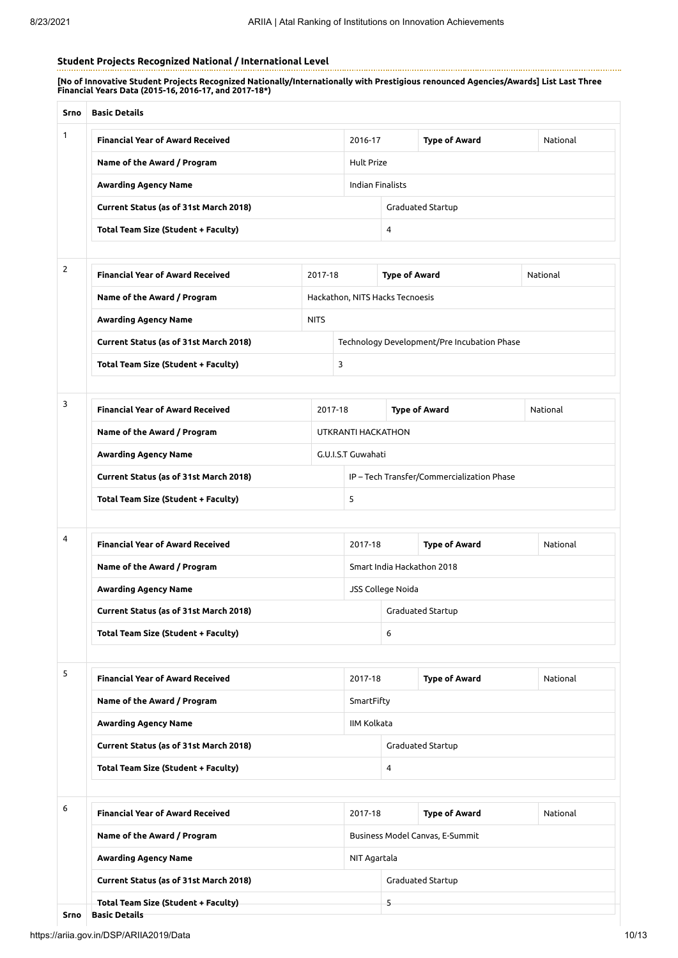# 8/23/2021 ARIIA | Atal Ranking of Institutions on Innovation Achievements **Student Projects Recognized National / International Level** [No of Innovative Student Projects Recognized Nationally/Internationally with Prestigious renounced Agencies/Awards] List Last Three<br>Financial Years Data (2015-16, 2016-17, and 2017-18\*) **Srno Basic Details** <sup>1</sup> **Financial Year of Award Received** 2016-17 **Type of Award** National **Name of the Award / Program Hult Prize Hult Prize Awarding Agency Name** Indian Finalists **Current Status (as of 31st March 2018)** Graduated Startup **Total Team Size (Student + Faculty)** 4 <sup>2</sup> **Financial Year of Award Received** 2017-18 **Type of Award** National **Name of the Award / Program** Hackathon, NITS Hacks Tecnoesis **Awarding Agency Name NITS Current Status (as of 31st March 2018)** Technology Development/Pre Incubation Phase **Total Team Size (Student + Faculty)** 3 <sup>3</sup> **Financial Year of Award Received** 2017-18 **Type of Award** National

| Name of the Award / Program                | UTKRANTI HACKATHON |                                            |  |  |
|--------------------------------------------|--------------------|--------------------------------------------|--|--|
| Awarding Agency Name                       |                    | G.U.LS.T Guwahati                          |  |  |
| Current Status (as of 31st March 2018)     |                    | IP – Tech Transfer/Commercialization Phase |  |  |
| <b>Total Team Size (Student + Faculty)</b> |                    |                                            |  |  |

| 4 | <b>Financial Year of Award Received</b>    | 2017-18                  |   | <b>Type of Award</b>       | National |
|---|--------------------------------------------|--------------------------|---|----------------------------|----------|
|   | Name of the Award / Program                |                          |   | Smart India Hackathon 2018 |          |
|   | <b>Awarding Agency Name</b>                | <b>JSS College Noida</b> |   |                            |          |
|   | Current Status (as of 31st March 2018)     |                          |   | Graduated Startup          |          |
|   | <b>Total Team Size (Student + Faculty)</b> |                          | 6 |                            |          |

<sup>5</sup> **Financial Year of Award Received** 2017-18 **Type of Award** National **Name of the Award / Program** SmartFifty **Awarding Agency Name** IIM Kolkata **Current Status (as of 31st March 2018)** Graduated Startup **Total Team Size (Student + Faculty)** 4

| 6    | <b>Financial Year of Award Received</b>                            | 2017-18      |                                 | <b>Type of Award</b> | National |  |
|------|--------------------------------------------------------------------|--------------|---------------------------------|----------------------|----------|--|
|      | Name of the Award / Program                                        |              | Business Model Canvas, E-Summit |                      |          |  |
|      | <b>Awarding Agency Name</b>                                        | NIT Agartala |                                 |                      |          |  |
|      | Current Status (as of 31st March 2018)                             |              |                                 | Graduated Startup    |          |  |
| Srno | <b>Total Team Size (Student + Faculty)</b><br><b>Basic Details</b> |              |                                 |                      |          |  |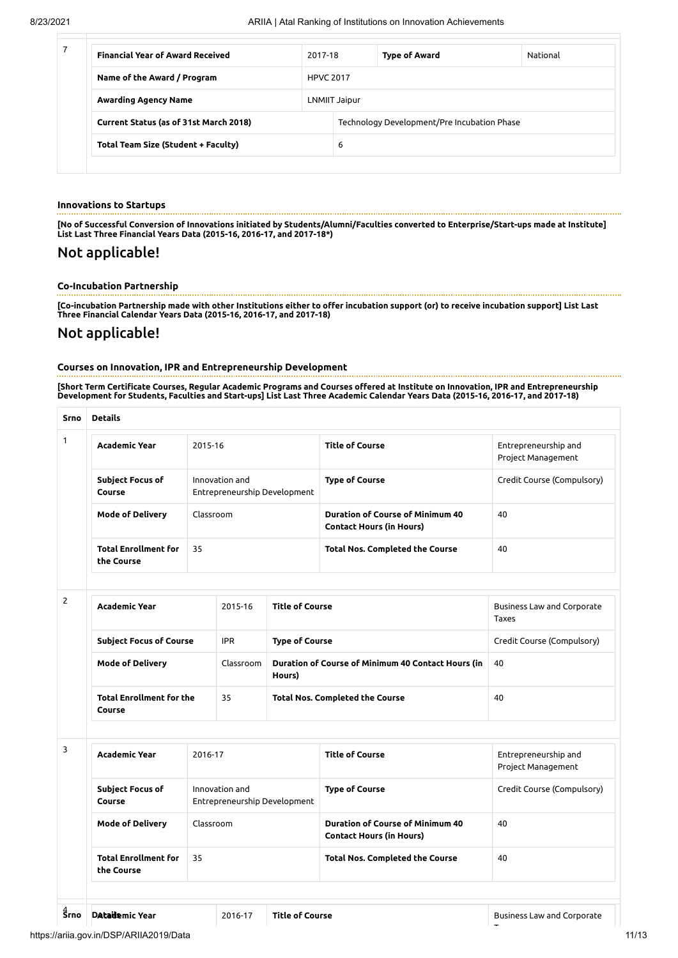| <b>Financial Year of Award Received</b>    | 2017-18 |                  | <b>Type of Award</b>                        | National |  |  |
|--------------------------------------------|---------|------------------|---------------------------------------------|----------|--|--|
| Name of the Award / Program                |         | <b>HPVC 2017</b> |                                             |          |  |  |
| <b>Awarding Agency Name</b>                |         | LNMIIT Jaipur    |                                             |          |  |  |
| Current Status (as of 31st March 2018)     |         |                  | Technology Development/Pre Incubation Phase |          |  |  |
| <b>Total Team Size (Student + Faculty)</b> |         | 6                |                                             |          |  |  |

## **Innovations to Startups**

[No of Successful Conversion of Innovations initiated by Students/Alumni/Faculties converted to Enterprise/Start-ups made at Institute]<br>List Last Three Financial Years Data (2015-16, 2016-17, and 2017-18\*)

## Not applicable!

#### **Co-Incubation Partnership**

[Co-incubation Partnership made with other Institutions either to offer incubation support (or) to receive incubation support] List Last **Three Financial Calendar Years Data (2015-16, 2016-17, and 2017-18)**

## Not applicable!

#### **Courses on Innovation, IPR and Entrepreneurship Development**

[Short Term Certificate Courses, Regular Academic Programs and Courses offered at Institute on Innovation, IPR and Entrepreneurship Development for Students, Faculties and Start-ups] List Last Three Academic Calendar Years Data (2015-16, 2016-17, and 2017-18)

| Srno | <b>Details</b>                            |                                                |                                                                            |                                            |
|------|-------------------------------------------|------------------------------------------------|----------------------------------------------------------------------------|--------------------------------------------|
|      | <b>Academic Year</b>                      | 2015-16                                        | <b>Title of Course</b>                                                     | Entrepreneurship and<br>Project Management |
|      | <b>Subject Focus of</b><br>Course         | Innovation and<br>Entrepreneurship Development | <b>Type of Course</b>                                                      | Credit Course (Compulsory)                 |
|      | <b>Mode of Delivery</b>                   | Classroom                                      | <b>Duration of Course of Minimum 40</b><br><b>Contact Hours (in Hours)</b> | 40                                         |
|      | <b>Total Enrollment for</b><br>the Course | 35                                             | <b>Total Nos. Completed the Course</b>                                     | 40                                         |

| 2 | <b>Academic Year</b>                      | 2015-16    | <b>Title of Course</b>                                       | <b>Business Law and Corporate</b><br>Taxes |
|---|-------------------------------------------|------------|--------------------------------------------------------------|--------------------------------------------|
|   | <b>Subject Focus of Course</b>            | <b>IPR</b> | <b>Type of Course</b>                                        | Credit Course (Compulsory)                 |
|   | <b>Mode of Delivery</b>                   | Classroom  | Duration of Course of Minimum 40 Contact Hours (in<br>Hours) | 40                                         |
|   | <b>Total Enrollment for the</b><br>Course | 35         | <b>Total Nos. Completed the Course</b>                       | 40                                         |

| <b>Academic Year</b>                      | 2016-17                                        | <b>Title of Course</b>                                              | Entrepreneurship and<br>Project Management |
|-------------------------------------------|------------------------------------------------|---------------------------------------------------------------------|--------------------------------------------|
| Subject Focus of<br>Course                | Innovation and<br>Entrepreneurship Development | <b>Type of Course</b>                                               | Credit Course (Compulsory)                 |
| <b>Mode of Delivery</b>                   | Classroom                                      | Duration of Course of Minimum 40<br><b>Contact Hours (in Hours)</b> | 40                                         |
| <b>Total Enrollment for</b><br>the Course | 35                                             | <b>Total Nos. Completed the Course</b>                              | 40                                         |

T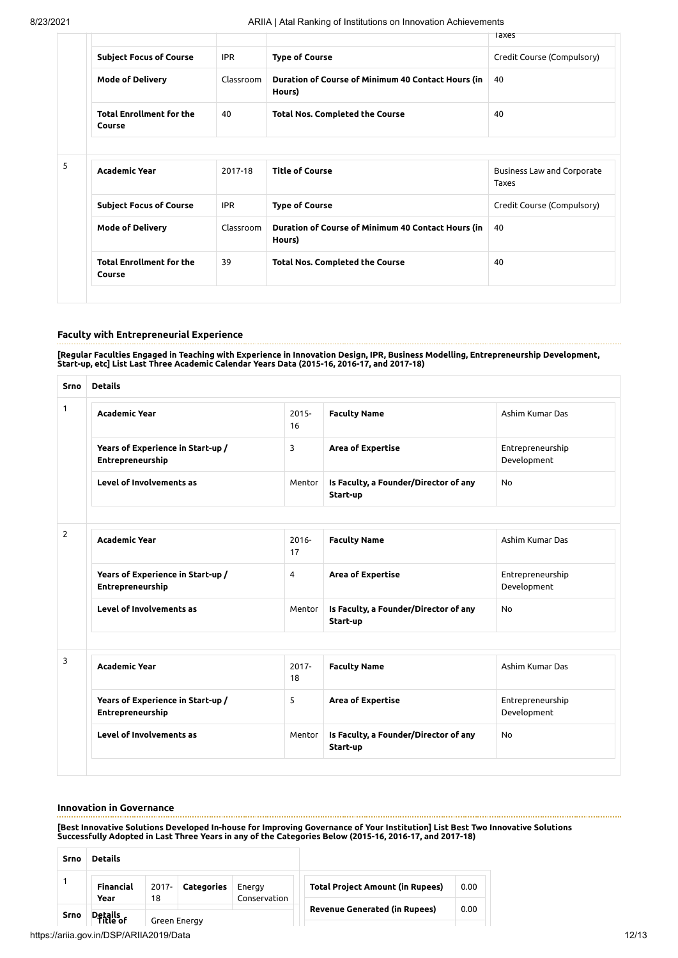|                                           |            |                                                              | laxes                                      |
|-------------------------------------------|------------|--------------------------------------------------------------|--------------------------------------------|
| <b>Subject Focus of Course</b>            | <b>IPR</b> | <b>Type of Course</b>                                        | Credit Course (Compulsory)                 |
| <b>Mode of Delivery</b>                   | Classroom  | Duration of Course of Minimum 40 Contact Hours (in<br>Hours) | 40                                         |
| <b>Total Enrollment for the</b><br>Course | 40         | <b>Total Nos. Completed the Course</b>                       | 40                                         |
|                                           |            |                                                              |                                            |
| <b>Academic Year</b>                      | 2017-18    | <b>Title of Course</b>                                       | Business Law and Corporate<br><b>Taxes</b> |
| <b>Subject Focus of Course</b>            | <b>IPR</b> | <b>Type of Course</b>                                        | Credit Course (Compulsory)                 |
| <b>Mode of Delivery</b>                   | Classroom  | Duration of Course of Minimum 40 Contact Hours (in<br>Hours) | 40                                         |
| <b>Total Enrollment for the</b><br>Course | 39         | <b>Total Nos. Completed the Course</b>                       | 40                                         |

#### **Faculty with Entrepreneurial Experience**

[Regular Faculties Engaged in Teaching with Experience in Innovation Design, IPR, Business Modelling, Entrepreneurship Development,<br>Start-up, etc] List Last Three Academic Calendar Years Data (2015-16, 2016-17, and 2017-18

| <b>Srno</b> | <b>Details</b>                                        |                |                                                   |                                 |
|-------------|-------------------------------------------------------|----------------|---------------------------------------------------|---------------------------------|
|             | <b>Academic Year</b>                                  | $2015 -$<br>16 | <b>Faculty Name</b>                               | Ashim Kumar Das                 |
|             | Years of Experience in Start-up /<br>Entrepreneurship | $\overline{3}$ | <b>Area of Expertise</b>                          | Entrepreneurship<br>Development |
|             | Level of Involvements as                              | Mentor         | Is Faculty, a Founder/Director of any<br>Start-up | <b>No</b>                       |
|             |                                                       |                |                                                   |                                 |
| 2           | <b>Academic Year</b>                                  | $2016 -$<br>17 | <b>Faculty Name</b>                               | Ashim Kumar Das                 |
|             | Years of Experience in Start-up /<br>Entrepreneurship | 4              | <b>Area of Expertise</b>                          | Entrepreneurship<br>Development |
|             | Level of Involvements as                              | Mentor         | Is Faculty, a Founder/Director of any<br>Start-up | <b>No</b>                       |
|             |                                                       |                |                                                   |                                 |
|             | <b>Academic Year</b>                                  | $2017 -$<br>18 | <b>Faculty Name</b>                               | Ashim Kumar Das                 |
|             | Years of Experience in Start-up /<br>Entrepreneurship | 5              | <b>Area of Expertise</b>                          | Entrepreneurship<br>Development |
|             | Level of Involvements as                              | Mentor         | Is Faculty, a Founder/Director of any<br>Start-up | No                              |

#### **Innovation in Governance**

[Best Innovative Solutions Developed In-house for Improving Governance of Your Institution] List Best Two Innovative Solutions<br>Successfully Adopted in Last Three Years in any of the Categories Below (2015-16, 2016-17, and

| Srno | <b>Details</b>              |              |            |                        |                                         |      |  |
|------|-----------------------------|--------------|------------|------------------------|-----------------------------------------|------|--|
|      | Financial<br>$2017 -$<br>18 |              | Categories | Energy<br>Conservation | <b>Total Project Amount (in Rupees)</b> | 0.00 |  |
|      | Year                        |              |            |                        | <b>Revenue Generated (in Rupees)</b>    | 0.00 |  |
| Srno | Details<br>Title of         | Green Energy |            |                        |                                         |      |  |

https://ariia.gov.in/DSP/ARIIA2019/Data 12/13